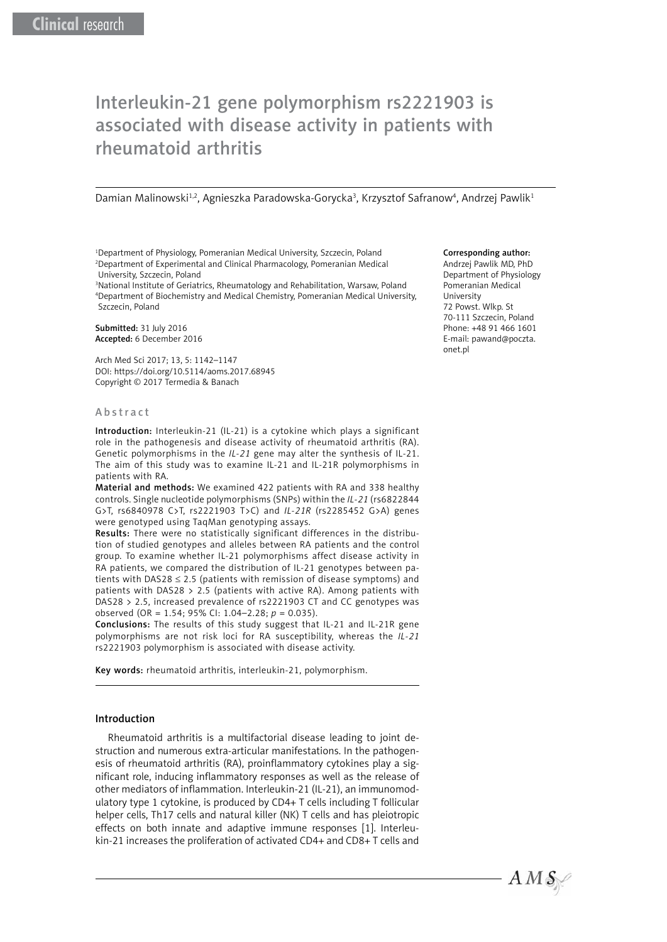# Interleukin-21 gene polymorphism rs2221903 is associated with disease activity in patients with rheumatoid arthritis

Damian Malinowski<sup>1,2</sup>, Agnieszka Paradowska-Gorycka<sup>3</sup>, Krzysztof Safranow<sup>4</sup>, Andrzej Pawlik<sup>1</sup>

<sup>1</sup>Department of Physiology, Pomeranian Medical University, Szczecin, Poland 2 Department of Experimental and Clinical Pharmacology, Pomeranian Medical University, Szczecin, Poland

<sup>3</sup>National Institute of Geriatrics, Rheumatology and Rehabilitation, Warsaw, Poland 4 Department of Biochemistry and Medical Chemistry, Pomeranian Medical University, Szczecin, Poland

Submitted: 31 July 2016 Accepted: 6 December 2016

Arch Med Sci 2017; 13, 5: 1142–1147 DOI: https://doi.org/10.5114/aoms.2017.68945 Copyright © 2017 Termedia & Banach

#### Abstract

Introduction: Interleukin-21 (IL-21) is a cytokine which plays a significant role in the pathogenesis and disease activity of rheumatoid arthritis (RA). Genetic polymorphisms in the *IL-21* gene may alter the synthesis of IL-21. The aim of this study was to examine IL-21 and IL-21R polymorphisms in patients with RA.

Material and methods: We examined 422 patients with RA and 338 healthy controls. Single nucleotide polymorphisms (SNPs) within the *IL-21* (rs6822844 G>T, rs6840978 C>T, rs2221903 T>C) and *IL-21R* (rs2285452 G>A) genes were genotyped using TaqMan genotyping assays.

Results: There were no statistically significant differences in the distribution of studied genotypes and alleles between RA patients and the control group. To examine whether IL-21 polymorphisms affect disease activity in RA patients, we compared the distribution of IL-21 genotypes between patients with DAS28  $\leq$  2.5 (patients with remission of disease symptoms) and patients with DAS28  $> 2.5$  (patients with active RA). Among patients with DAS28 > 2.5, increased prevalence of rs2221903 CT and CC genotypes was observed (OR = 1.54; 95% CI: 1.04–2.28; *p* = 0.035).

Conclusions: The results of this study suggest that IL-21 and IL-21R gene polymorphisms are not risk loci for RA susceptibility, whereas the *IL-21* rs2221903 polymorphism is associated with disease activity.

Key words: rheumatoid arthritis, interleukin-21, polymorphism.

#### Introduction

Rheumatoid arthritis is a multifactorial disease leading to joint destruction and numerous extra-articular manifestations. In the pathogenesis of rheumatoid arthritis (RA), proinflammatory cytokines play a significant role, inducing inflammatory responses as well as the release of other mediators of inflammation. Interleukin-21 (IL-21), an immunomodulatory type 1 cytokine, is produced by CD4+ T cells including T follicular helper cells, Th17 cells and natural killer (NK) T cells and has pleiotropic effects on both innate and adaptive immune responses [1]. Interleukin-21 increases the proliferation of activated CD4+ and CD8+ T cells and

## Corresponding author:

Andrzej Pawlik MD, PhD Department of Physiology Pomeranian Medical University 72 Powst. Wlkp. St 70-111 Szczecin, Poland Phone: +48 91 466 1601 E-mail: pawand@poczta. onet.pl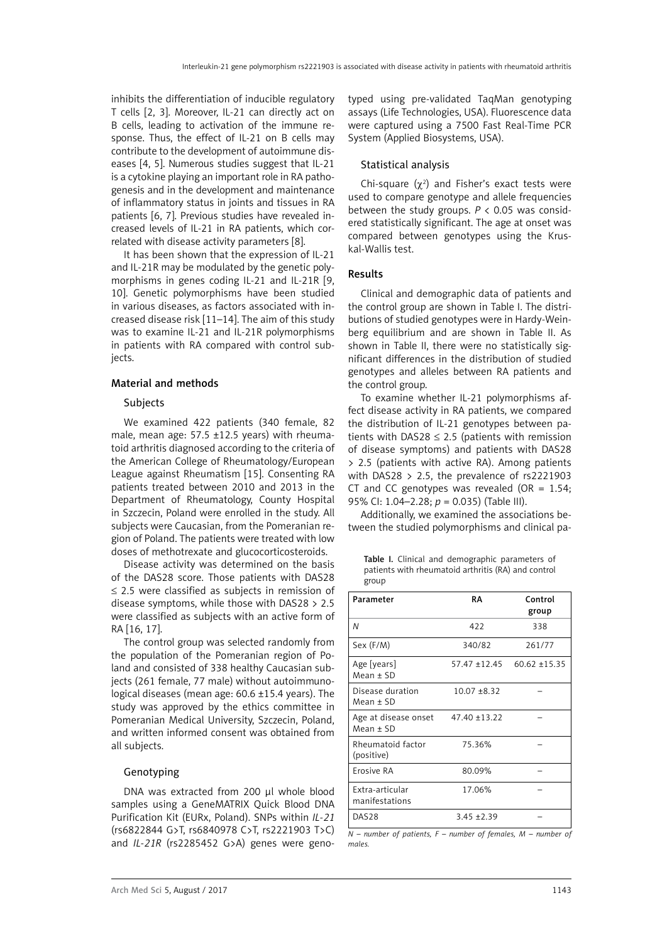inhibits the differentiation of inducible regulatory T cells [2, 3]. Moreover, IL-21 can directly act on B cells, leading to activation of the immune response. Thus, the effect of IL-21 on B cells may contribute to the development of autoimmune diseases [4, 5]. Numerous studies suggest that IL-21 is a cytokine playing an important role in RA pathogenesis and in the development and maintenance of inflammatory status in joints and tissues in RA patients [6, 7]. Previous studies have revealed increased levels of IL-21 in RA patients, which correlated with disease activity parameters [8].

It has been shown that the expression of IL-21 and IL-21R may be modulated by the genetic polymorphisms in genes coding IL-21 and IL-21R [9, 10]. Genetic polymorphisms have been studied in various diseases, as factors associated with increased disease risk [11–14]. The aim of this study was to examine IL-21 and IL-21R polymorphisms in patients with RA compared with control subjects.

## Material and methods

# Subjects

We examined 422 patients (340 female, 82 male, mean age: 57.5 ±12.5 years) with rheumatoid arthritis diagnosed according to the criteria of the American College of Rheumatology/European League against Rheumatism [15]. Consenting RA patients treated between 2010 and 2013 in the Department of Rheumatology, County Hospital in Szczecin, Poland were enrolled in the study. All subjects were Caucasian, from the Pomeranian region of Poland. The patients were treated with low doses of methotrexate and glucocorticosteroids.

Disease activity was determined on the basis of the DAS28 score. Those patients with DAS28 ≤ 2.5 were classified as subjects in remission of disease symptoms, while those with DAS28 > 2.5 were classified as subjects with an active form of RA [16, 17].

The control group was selected randomly from the population of the Pomeranian region of Poland and consisted of 338 healthy Caucasian subjects (261 female, 77 male) without autoimmunological diseases (mean age: 60.6 ±15.4 years). The study was approved by the ethics committee in Pomeranian Medical University, Szczecin, Poland, and written informed consent was obtained from all subjects.

# Genotyping

DNA was extracted from 200 ul whole blood samples using a GeneMATRIX Quick Blood DNA Purification Kit (EURx, Poland). SNPs within *IL-21* (rs6822844 G>T, rs6840978 C>T, rs2221903 T>C) and *IL-21R* (rs2285452 G>A) genes were genotyped using pre-validated TaqMan genotyping assays (Life Technologies, USA). Fluorescence data were captured using a 7500 Fast Real-Time PCR System (Applied Biosystems, USA).

# Statistical analysis

Chi-square  $(\chi^2)$  and Fisher's exact tests were used to compare genotype and allele frequencies between the study groups.  $P < 0.05$  was considered statistically significant. The age at onset was compared between genotypes using the Kruskal-Wallis test.

# Results

Clinical and demographic data of patients and the control group are shown in Table I. The distributions of studied genotypes were in Hardy-Weinberg equilibrium and are shown in Table II. As shown in Table II, there were no statistically significant differences in the distribution of studied genotypes and alleles between RA patients and the control group.

To examine whether IL-21 polymorphisms affect disease activity in RA patients, we compared the distribution of IL-21 genotypes between patients with DAS28  $\leq$  2.5 (patients with remission of disease symptoms) and patients with DAS28 > 2.5 (patients with active RA). Among patients with DAS28  $> 2.5$ , the prevalence of rs2221903 CT and CC genotypes was revealed (OR =  $1.54$ ; 95% CI: 1.04–2.28; *p* = 0.035) (Table III).

Additionally, we examined the associations between the studied polymorphisms and clinical pa-

Table I. Clinical and demographic parameters of patients with rheumatoid arthritis (RA) and control group

| Parameter                                               | RA             | Control<br>group                    |
|---------------------------------------------------------|----------------|-------------------------------------|
| N                                                       | 422            | 338                                 |
| Sex (F/M)                                               | 340/82         | 261/77                              |
| Age [years]<br>Mean ± SD                                |                | $57.47 \pm 12.45$ 60.62 $\pm 15.35$ |
| Disease duration<br>$Mean \pm SD$                       | $10.07 + 8.32$ |                                     |
| Age at disease onset $47.40 \pm 13.22$<br>$Mean \pm SD$ |                |                                     |
| Rheumatoid factor<br>(positive)                         | 75.36%         |                                     |
| Erosive RA                                              | 80.09%         |                                     |
| Extra-articular<br>manifestations                       | 17.06%         |                                     |
| DAS <sub>28</sub>                                       | $3.45 + 2.39$  |                                     |

*N – number of patients, F – number of females, M – number of males.*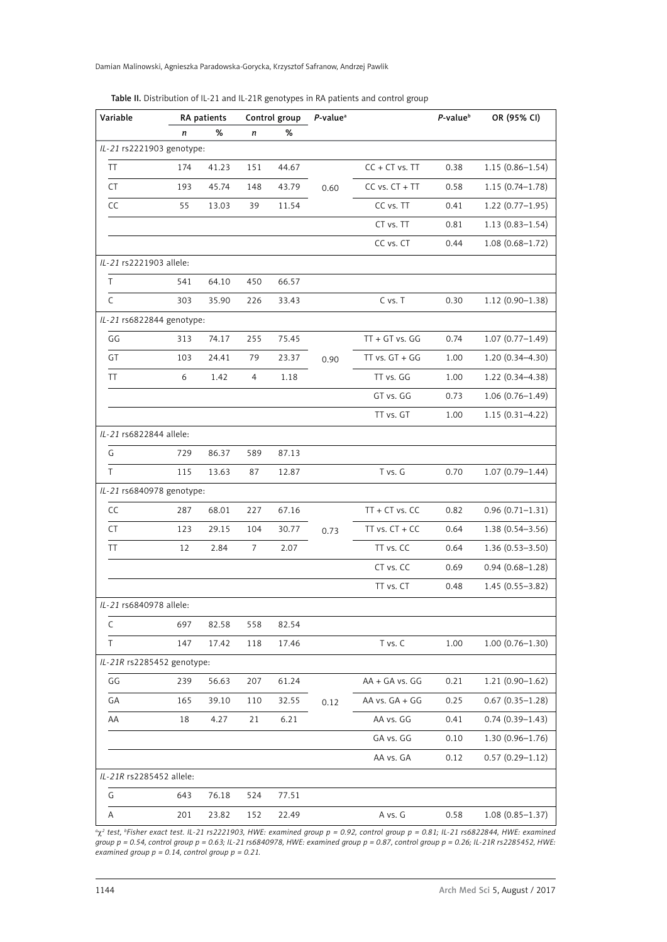Damian Malinowski, Agnieszka Paradowska-Gorycka, Krzysztof Safranow, Andrzej Pawlik

| Variable                   | RA patients |       | Control group |       | P-value <sup>a</sup> |                    | $P$ -value $\Phi$ | OR (95% CI)         |  |
|----------------------------|-------------|-------|---------------|-------|----------------------|--------------------|-------------------|---------------------|--|
|                            | n           | $\%$  | n             | %     |                      |                    |                   |                     |  |
| IL-21 rs2221903 genotype:  |             |       |               |       |                      |                    |                   |                     |  |
| TT                         | 174         | 41.23 | 151           | 44.67 |                      | $CC + CT$ vs. $TT$ | 0.38              | $1.15(0.86 - 1.54)$ |  |
| CT                         | 193         | 45.74 | 148           | 43.79 | 0.60                 | $CC vs. CT + TT$   |                   | $1.15(0.74 - 1.78)$ |  |
| CC                         | 55          | 13.03 | 39            | 11.54 |                      | CC vs. TT          | 0.41              | $1.22(0.77-1.95)$   |  |
|                            |             |       |               |       |                      | CT vs. TT          | 0.81              | $1.13(0.83 - 1.54)$ |  |
|                            |             |       |               |       |                      | CC vs. CT          | 0.44              | $1.08(0.68 - 1.72)$ |  |
| IL-21 rs2221903 allele:    |             |       |               |       |                      |                    |                   |                     |  |
| T                          | 541         | 64.10 | 450           | 66.57 |                      |                    |                   |                     |  |
| C                          | 303         | 35.90 | 226           | 33.43 |                      | C vs. T            | 0.30              | $1.12(0.90-1.38)$   |  |
| IL-21 rs6822844 genotype:  |             |       |               |       |                      |                    |                   |                     |  |
| GG                         | 313         | 74.17 | 255           | 75.45 |                      | $TT + GT$ vs. $GG$ | 0.74              | $1.07(0.77 - 1.49)$ |  |
| GT                         | 103         | 24.41 | 79            | 23.37 | 0.90                 | $TT$ vs. $GT + GG$ | 1.00              | $1.20(0.34 - 4.30)$ |  |
| TT                         | 6           | 1.42  | 4             | 1.18  |                      | TT vs. GG          | 1.00              | $1.22(0.34 - 4.38)$ |  |
|                            |             |       |               |       |                      | GT vs. GG          | 0.73              | $1.06(0.76 - 1.49)$ |  |
|                            |             |       |               |       |                      | TT vs. GT          | 1.00              | $1.15(0.31 - 4.22)$ |  |
| IL-21 rs6822844 allele:    |             |       |               |       |                      |                    |                   |                     |  |
| G                          | 729         | 86.37 | 589           | 87.13 |                      |                    |                   |                     |  |
| T                          | 115         | 13.63 | 87            | 12.87 |                      | T vs. G            | 0.70              | $1.07(0.79 - 1.44)$ |  |
| IL-21 rs6840978 genotype:  |             |       |               |       |                      |                    |                   |                     |  |
| CC                         | 287         | 68.01 | 227           | 67.16 | $TT + CT vs. CC$     |                    | 0.82              | $0.96(0.71 - 1.31)$ |  |
| CT                         | 123         | 29.15 | 104           | 30.77 | 0.73                 | TT vs. CT + CC     | 0.64              | $1.38(0.54 - 3.56)$ |  |
| TT                         | 12          | 2.84  | 7             | 2.07  |                      | TT vs. CC          | 0.64              | $1.36(0.53 - 3.50)$ |  |
|                            |             |       |               |       |                      | CT vs. CC          | 0.69              | $0.94(0.68 - 1.28)$ |  |
|                            |             |       |               |       |                      | TT vs. CT          | 0.48              | $1.45(0.55 - 3.82)$ |  |
| IL-21 rs6840978 allele:    |             |       |               |       |                      |                    |                   |                     |  |
| C                          | 697         | 82.58 | 558           | 82.54 |                      |                    |                   |                     |  |
| T                          | 147         | 17.42 | 118           | 17.46 |                      | T vs. C            | 1.00              | $1.00(0.76 - 1.30)$ |  |
| IL-21R rs2285452 genotype: |             |       |               |       |                      |                    |                   |                     |  |
| GG                         | 239         | 56.63 | 207           | 61.24 |                      | AA + GA vs. GG     | 0.21              | $1.21(0.90 - 1.62)$ |  |
| GA                         | 165         | 39.10 | 110           | 32.55 | 0.12                 | AA vs. GA + GG     | 0.25              | $0.67(0.35 - 1.28)$ |  |
| AA                         | 18          | 4.27  | 21            | 6.21  |                      | AA vs. GG          | 0.41              | $0.74(0.39 - 1.43)$ |  |
|                            |             |       |               |       |                      | GA vs. GG          | 0.10              | $1.30(0.96 - 1.76)$ |  |
|                            |             |       |               |       |                      | AA vs. GA          | 0.12              | $0.57(0.29 - 1.12)$ |  |
| IL-21R rs2285452 allele:   |             |       |               |       |                      |                    |                   |                     |  |
| G                          | 643         | 76.18 | 524           | 77.51 |                      |                    |                   |                     |  |
| Α                          | 201         | 23.82 | 152           | 22.49 |                      | A vs. G            | 0.58              | $1.08(0.85 - 1.37)$ |  |

Table II. Distribution of IL-21 and IL-21R genotypes in RA patients and control group

<sup>a</sup>χ<sup>2</sup> test, <sup>b</sup>Fisher exact test. IL-21 rs2221903, HWE: examined group p = 0.92, control group p = 0.81; IL-21 rs6822844, HWE: examined *group p = 0.54, control group p = 0.63; IL-21 rs6840978, HWE: examined group p = 0.87, control group p = 0.26; IL-21R rs2285452, HWE: examined group p = 0.14, control group p = 0.21.*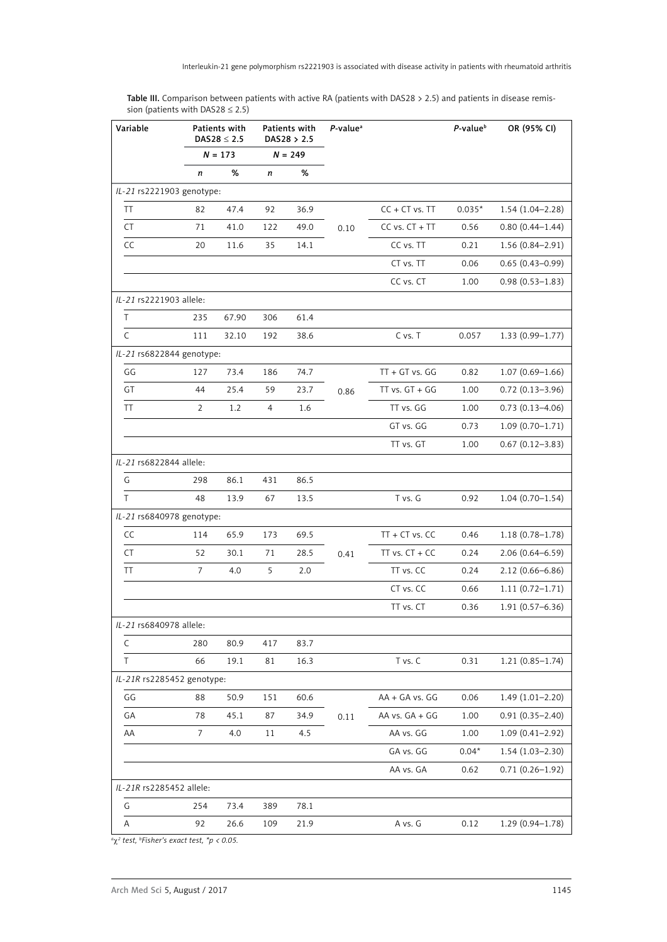| Variable                  | Patients with<br>DAS28 $\leq$ 2.5<br>$N = 173$ |       | Patients with<br>DAS28 > 2.5<br>$N = 249$ |      | $P$ -value <sup><math>a</math></sup> |                    | $P$ -value $b$ | OR (95% CI)         |  |
|---------------------------|------------------------------------------------|-------|-------------------------------------------|------|--------------------------------------|--------------------|----------------|---------------------|--|
|                           |                                                |       |                                           |      |                                      |                    |                |                     |  |
|                           | $\boldsymbol{n}$                               | %     | $\mathsf{n}$                              | %    |                                      |                    |                |                     |  |
| IL-21 rs2221903 genotype: |                                                |       |                                           |      |                                      |                    |                |                     |  |
| TT                        | 82                                             | 47.4  | 92                                        | 36.9 |                                      | $CC + CT$ vs. $TT$ | $0.035*$       | $1.54(1.04 - 2.28)$ |  |
| <b>CT</b>                 | 71                                             | 41.0  | 122                                       | 49.0 | 0.10                                 | $CC$ vs. $CT + TT$ | 0.56           | $0.80(0.44 - 1.44)$ |  |
| CC                        | 20                                             | 11.6  | 35                                        | 14.1 |                                      | CC vs. TT          | 0.21           | $1.56(0.84 - 2.91)$ |  |
|                           |                                                |       |                                           |      |                                      | CT vs. TT          | 0.06           | $0.65(0.43 - 0.99)$ |  |
|                           |                                                |       |                                           |      |                                      | CC vs. CT          | 1.00           | $0.98(0.53 - 1.83)$ |  |
| IL-21 rs2221903 allele:   |                                                |       |                                           |      |                                      |                    |                |                     |  |
| T                         | 235                                            | 67.90 | 306                                       | 61.4 |                                      |                    |                |                     |  |
| $\mathsf{C}$              | 111                                            | 32.10 | 192                                       | 38.6 |                                      | C vs. T            | 0.057          | $1.33(0.99 - 1.77)$ |  |
| IL-21 rs6822844 genotype: |                                                |       |                                           |      |                                      |                    |                |                     |  |
| GG                        | 127                                            | 73.4  | 186                                       | 74.7 |                                      | $TT + GT$ vs. $GG$ | 0.82           | $1.07(0.69 - 1.66)$ |  |
| GT                        | 44                                             | 25.4  | 59                                        | 23.7 | 0.86                                 | $TT$ vs. $GT + GG$ | 1.00           | $0.72(0.13 - 3.96)$ |  |
| <b>TT</b>                 | 2                                              | 1.2   | 4                                         | 1.6  |                                      | TT vs. GG          | 1.00           | $0.73(0.13 - 4.06)$ |  |
|                           |                                                |       |                                           |      |                                      | GT vs. GG          | 0.73           | $1.09(0.70 - 1.71)$ |  |

**Table III.** Comparison between patients with active RA (patients with DAS28 > 2.5) and patients in disease remission (patients with DAS28 ≤ 2.5)

|                            |                |      |     |      |      | TT vs. GT          | 1.00    | $0.67(0.12 - 3.83)$ |
|----------------------------|----------------|------|-----|------|------|--------------------|---------|---------------------|
| IL-21 rs6822844 allele:    |                |      |     |      |      |                    |         |                     |
| G                          | 298            | 86.1 | 431 | 86.5 |      |                    |         |                     |
| T                          | 48             | 13.9 | 67  | 13.5 |      | T vs. G            | 0.92    | $1.04(0.70 - 1.54)$ |
| IL-21 rs6840978 genotype:  |                |      |     |      |      |                    |         |                     |
| CC                         | 114            | 65.9 | 173 | 69.5 |      | $TT + CT$ vs. $CC$ | 0.46    | $1.18(0.78 - 1.78)$ |
| <b>CT</b>                  | 52             | 30.1 | 71  | 28.5 | 0.41 | TT vs. $CT + CC$   | 0.24    | $2.06(0.64 - 6.59)$ |
| <b>TT</b>                  | $\overline{7}$ | 4.0  | 5   | 2.0  |      | TT vs. CC          | 0.24    | $2.12(0.66 - 6.86)$ |
|                            |                |      |     |      |      | CT vs. CC          | 0.66    | $1.11(0.72 - 1.71)$ |
|                            |                |      |     |      |      | TT vs. CT          | 0.36    | $1.91(0.57 - 6.36)$ |
| IL-21 rs6840978 allele:    |                |      |     |      |      |                    |         |                     |
| $\mathsf{C}$               | 280            | 80.9 | 417 | 83.7 |      |                    |         |                     |
| T                          | 66             | 19.1 | 81  | 16.3 |      | T vs. C            | 0.31    | $1.21(0.85 - 1.74)$ |
| IL-21R rs2285452 genotype: |                |      |     |      |      |                    |         |                     |
| GG                         | 88             | 50.9 | 151 | 60.6 |      | AA + GA vs. GG     | 0.06    | $1.49(1.01 - 2.20)$ |
| GA                         | 78             | 45.1 | 87  | 34.9 | 0.11 | AA vs. GA + GG     | 1.00    | $0.91(0.35 - 2.40)$ |
| AA                         | $\overline{7}$ | 4.0  | 11  | 4.5  |      | AA vs. GG          | 1.00    | $1.09(0.41 - 2.92)$ |
|                            |                |      |     |      |      | GA vs. GG          | $0.04*$ | $1.54(1.03 - 2.30)$ |
|                            |                |      |     |      |      | AA vs. GA          | 0.62    | $0.71(0.26 - 1.92)$ |
| IL-21R rs2285452 allele:   |                |      |     |      |      |                    |         |                     |
| G                          | 254            | 73.4 | 389 | 78.1 |      |                    |         |                     |
| A                          | 92             | 26.6 | 109 | 21.9 |      | A vs. G            | 0.12    | $1.29(0.94 - 1.78)$ |
| $0.2$ task brightness      | $\frac{1}{2}$  |      |     |      |      |                    |         |                     |

*a* χ*<sup>2</sup> test, b Fisher's exact test, \*p < 0.05.*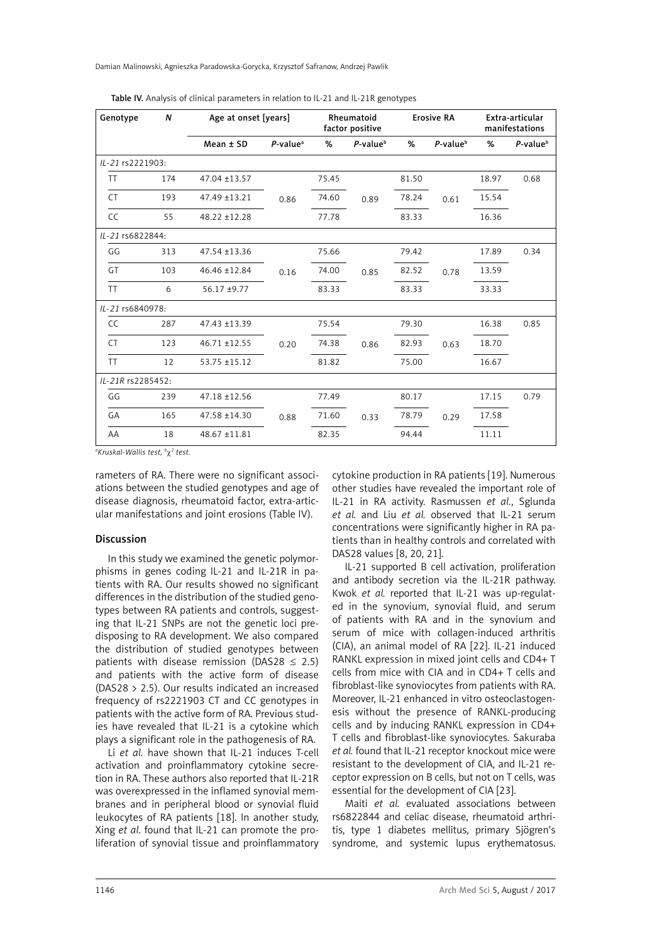Damian Malinowski, Agnieszka Paradowska-Gorycka, Krzysztof Safranow, Andrzej Pawlik

| Genotype          | $\boldsymbol{N}$ | Age at onset [years] |                         | Rheumatoid<br>factor positive |                   |       | <b>Erosive RA</b>       | Extra-articular<br>manifestations |                         |
|-------------------|------------------|----------------------|-------------------------|-------------------------------|-------------------|-------|-------------------------|-----------------------------------|-------------------------|
|                   |                  | $Mean \pm SD$        | $P$ -value <sup>a</sup> | %                             | $P$ -value $\Phi$ | %     | $P$ -value <sup>b</sup> | %                                 | $P$ -value <sup>b</sup> |
| IL-21 rs2221903:  |                  |                      |                         |                               |                   |       |                         |                                   |                         |
| <b>TT</b>         | 174              | 47.04 ±13.57         |                         | 75.45                         |                   | 81.50 |                         | 18.97                             | 0.68                    |
| <b>CT</b>         | 193              | 47.49 ±13.21         | 0.86                    | 74.60                         | 0.89              | 78.24 | 0.61                    | 15.54                             |                         |
| <b>CC</b>         | 55               | 48.22 ±12.28         |                         | 77.78                         |                   | 83.33 |                         | 16.36                             |                         |
| IL-21 rs6822844:  |                  |                      |                         |                               |                   |       |                         |                                   |                         |
| GG                | 313              | 47.54 ±13.36         |                         | 75.66                         |                   | 79.42 |                         | 17.89                             | 0.34                    |
| GT                | 103              | 46.46 ±12.84         | 0.16                    | 74.00                         | 0.85              | 82.52 | 0.78                    | 13.59                             |                         |
| <b>TT</b>         | 6                | 56.17 ±9.77          |                         | 83.33                         |                   | 83.33 |                         | 33.33                             |                         |
| IL-21 rs6840978:  |                  |                      |                         |                               |                   |       |                         |                                   |                         |
| CC.               | 287              | $47.43 + 13.39$      |                         | 75.54                         |                   | 79.30 |                         | 16.38                             | 0.85                    |
| <b>CT</b>         | 123              | $46.71 \pm 12.55$    | 0.20                    | 74.38                         | 0.86              | 82.93 | 0.63                    | 18.70                             |                         |
| <b>TT</b>         | 12               | $53.75 \pm 15.12$    |                         | 81.82                         |                   | 75.00 |                         | 16.67                             |                         |
| IL-21R rs2285452: |                  |                      |                         |                               |                   |       |                         |                                   |                         |
| GG                | 239              | 47.18 ±12.56         |                         | 77.49                         |                   | 80.17 |                         | 17.15                             | 0.79                    |
| GA                | 165              | 47.58 ±14.30         | 0.88                    | 71.60                         | 0.33              | 78.79 | 0.29                    | 17.58                             |                         |
| AA                | 18               | 48.67 ±11.81         |                         | 82.35                         |                   | 94.44 |                         | 11.11                             |                         |

Table IV. Analysis of clinical parameters in relation to IL-21 and IL-21R genotypes

*a Kruskal-Wallis test, b* χ*<sup>2</sup> test.*

rameters of RA. There were no significant associations between the studied genotypes and age of disease diagnosis, rheumatoid factor, extra-articular manifestations and joint erosions (Table IV).

## Discussion

In this study we examined the genetic polymorphisms in genes coding IL-21 and IL-21R in patients with RA. Our results showed no significant differences in the distribution of the studied genotypes between RA patients and controls, suggesting that IL-21 SNPs are not the genetic loci predisposing to RA development. We also compared the distribution of studied genotypes between patients with disease remission (DAS28  $\leq$  2.5) and patients with the active form of disease (DAS28 > 2.5). Our results indicated an increased frequency of rs2221903 CT and CC genotypes in patients with the active form of RA. Previous studies have revealed that IL-21 is a cytokine which plays a significant role in the pathogenesis of RA.

Li *et al.* have shown that IL-21 induces T-cell activation and proinflammatory cytokine secretion in RA. These authors also reported that IL-21R was overexpressed in the inflamed synovial membranes and in peripheral blood or synovial fluid leukocytes of RA patients [18]. In another study, Xing *et al*. found that IL-21 can promote the proliferation of synovial tissue and proinflammatory

cytokine production in RA patients [19]. Numerous other studies have revealed the important role of IL-21 in RA activity. Rasmussen *et al.*, Sglunda *et al.* and Liu *et al.* observed that IL-21 serum concentrations were significantly higher in RA patients than in healthy controls and correlated with DAS28 values [8, 20, 21].

IL-21 supported B cell activation, proliferation and antibody secretion via the IL-21R pathway. Kwok *et al.* reported that IL-21 was up-regulated in the synovium, synovial fluid, and serum of patients with RA and in the synovium and serum of mice with collagen-induced arthritis (CIA), an animal model of RA [22]. IL-21 induced RANKL expression in mixed joint cells and CD4+ T cells from mice with CIA and in CD4+ T cells and fibroblast-like synoviocytes from patients with RA. Moreover, IL-21 enhanced in vitro osteoclastogenesis without the presence of RANKL-producing cells and by inducing RANKL expression in CD4+ T cells and fibroblast-like synoviocytes. Sakuraba *et al.* found that IL-21 receptor knockout mice were resistant to the development of CIA, and IL-21 receptor expression on B cells, but not on T cells, was essential for the development of CIA [23].

Maiti *et al.* evaluated associations between rs6822844 and celiac disease, rheumatoid arthritis, type 1 diabetes mellitus, primary Sjögren's syndrome, and systemic lupus erythematosus.